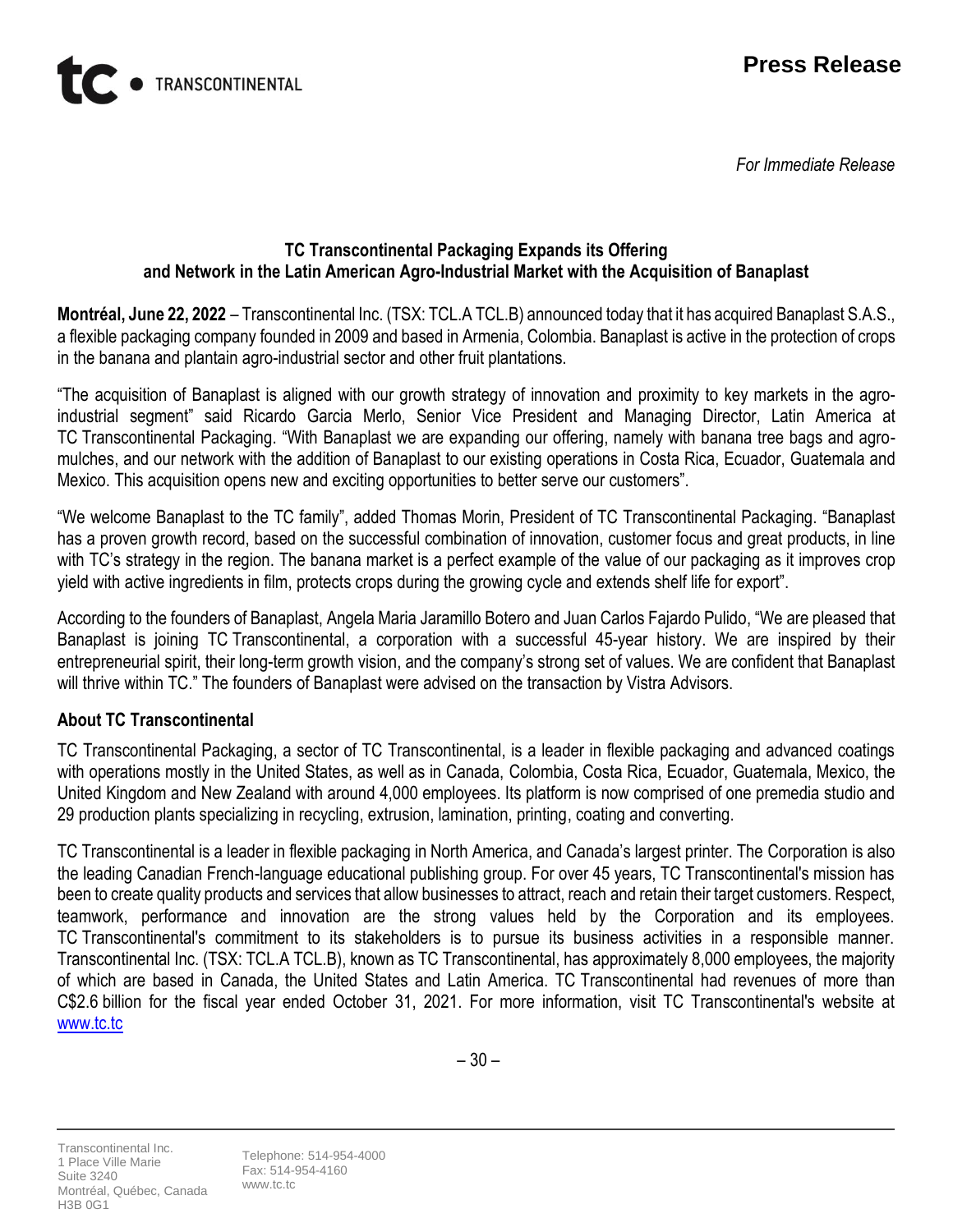

 *For Immediate Release*



#### **TC Transcontinental Packaging Expands its Offering and Network in the Latin American Agro-Industrial Market with the Acquisition of Banaplast**

**Montréal, June 22, 2022** – Transcontinental Inc. (TSX: TCL.A TCL.B) announced today that it has acquired Banaplast S.A.S., a flexible packaging company founded in 2009 and based in Armenia, Colombia. Banaplast is active in the protection of crops in the banana and plantain agro-industrial sector and other fruit plantations.

"The acquisition of Banaplast is aligned with our growth strategy of innovation and proximity to key markets in the agroindustrial segment" said Ricardo Garcia Merlo, Senior Vice President and Managing Director, Latin America at TC Transcontinental Packaging. "With Banaplast we are expanding our offering, namely with banana tree bags and agromulches, and our network with the addition of Banaplast to our existing operations in Costa Rica, Ecuador, Guatemala and Mexico. This acquisition opens new and exciting opportunities to better serve our customers".

"We welcome Banaplast to the TC family", added Thomas Morin, President of TC Transcontinental Packaging. "Banaplast has a proven growth record, based on the successful combination of innovation, customer focus and great products, in line with TC's strategy in the region. The banana market is a perfect example of the value of our packaging as it improves crop yield with active ingredients in film, protects crops during the growing cycle and extends shelf life for export".

According to the founders of Banaplast, Angela Maria Jaramillo Botero and Juan Carlos Fajardo Pulido, "We are pleased that Banaplast is joining TC Transcontinental, a corporation with a successful 45-year history. We are inspired by their entrepreneurial spirit, their long-term growth vision, and the company's strong set of values. We are confident that Banaplast will thrive within TC." The founders of Banaplast were advised on the transaction by Vistra Advisors.

## **About TC Transcontinental**

TC Transcontinental Packaging, a sector of TC Transcontinental, is a leader in flexible packaging and advanced coatings with operations mostly in the United States, as well as in Canada, Colombia, Costa Rica, Ecuador, Guatemala, Mexico, the United Kingdom and New Zealand with around 4,000 employees. Its platform is now comprised of one premedia studio and 29 production plants specializing in recycling, extrusion, lamination, printing, coating and converting.

TC Transcontinental is a leader in flexible packaging in North America, and Canada's largest printer. The Corporation is also the leading Canadian French-language educational publishing group. For over 45 years, TC Transcontinental's mission has been to create quality products and services that allow businesses to attract, reach and retain their target customers. Respect, teamwork, performance and innovation are the strong values held by the Corporation and its employees. TC Transcontinental's commitment to its stakeholders is to pursue its business activities in a responsible manner. Transcontinental Inc. (TSX: TCL.A TCL.B), known as TC Transcontinental, has approximately 8,000 employees, the majority of which are based in Canada, the United States and Latin America. TC Transcontinental had revenues of more than C\$2.6 billion for the fiscal year ended October 31, 2021. For more information, visit TC Transcontinental's website at [www.tc.tc](http://www.tc.tc/)

Transcontinental Inc. 1 Place Ville Marie Suite 3240 Montréal, Québec, Canada H3B 0G1

Telephone: 514-954-4000 Fax: 514-954-4160 www.tc.tc